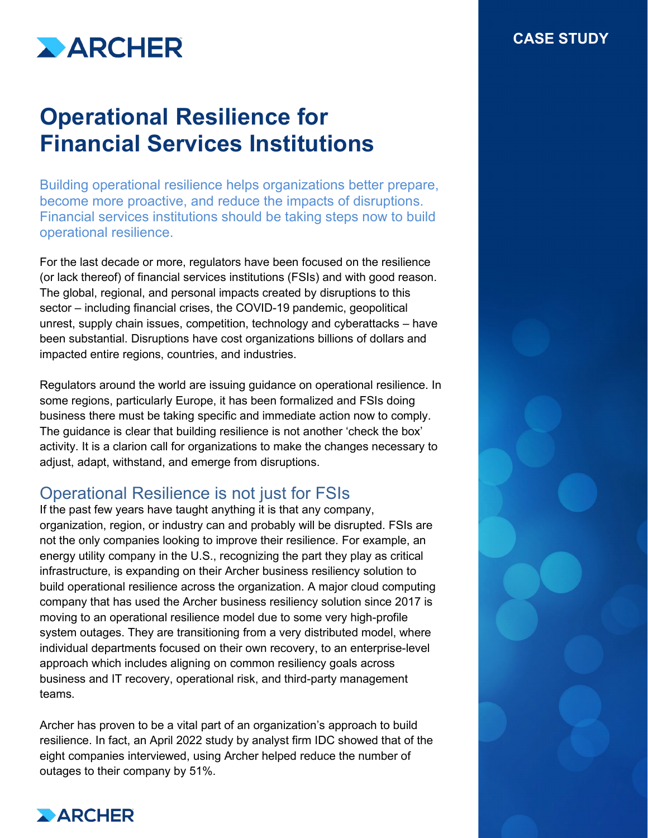

# **Operational Resilience for Financial Services Institutions**

Building operational resilience helps organizations better prepare, become more proactive, and reduce the impacts of disruptions. Financial services institutions should be taking steps now to build operational resilience.

For the last decade or more, regulators have been focused on the resilience (or lack thereof) of financial services institutions (FSIs) and with good reason. The global, regional, and personal impacts created by disruptions to this sector – including financial crises, the COVID-19 pandemic, geopolitical unrest, supply chain issues, competition, technology and cyberattacks – have been substantial. Disruptions have cost organizations billions of dollars and impacted entire regions, countries, and industries.

Regulators around the world are issuing guidance on operational resilience. In some regions, particularly Europe, it has been formalized and FSIs doing business there must be taking specific and immediate action now to comply. The guidance is clear that building resilience is not another 'check the box' activity. It is a clarion call for organizations to make the changes necessary to adjust, adapt, withstand, and emerge from disruptions.

### Operational Resilience is not just for FSIs

If the past few years have taught anything it is that any company, organization, region, or industry can and probably will be disrupted. FSIs are not the only companies looking to improve their resilience. For example, an energy utility company in the U.S., recognizing the part they play as critical infrastructure, is expanding on their Archer business resiliency solution to build operational resilience across the organization. A major cloud computing company that has used the Archer business resiliency solution since 2017 is moving to an operational resilience model due to some very high-profile system outages. They are transitioning from a very distributed model, where individual departments focused on their own recovery, to an enterprise-level approach which includes aligning on common resiliency goals across business and IT recovery, operational risk, and third-party management teams.

Archer has proven to be a vital part of an organization's approach to build resilience. In fact, an April 2022 study by analyst firm IDC showed that of the eight companies interviewed, using Archer helped reduce the number of outages to their company by 51%.



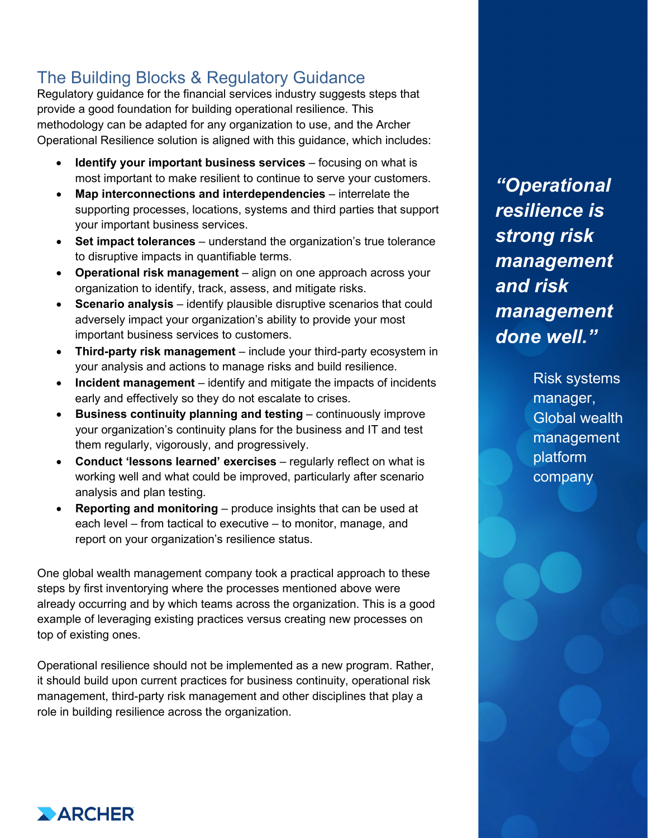## The Building Blocks & Regulatory Guidance

Regulatory guidance for the financial services industry suggests steps that provide a good foundation for building operational resilience. This methodology can be adapted for any organization to use, and the Archer Operational Resilience solution is aligned with this guidance, which includes:

- **Identify your important business services** focusing on what is most important to make resilient to continue to serve your customers.
- **Map interconnections and interdependencies** interrelate the supporting processes, locations, systems and third parties that support your important business services.
- **Set impact tolerances** understand the organization's true tolerance to disruptive impacts in quantifiable terms.
- **Operational risk management** align on one approach across your organization to identify, track, assess, and mitigate risks.
- **Scenario analysis** identify plausible disruptive scenarios that could adversely impact your organization's ability to provide your most important business services to customers.
- **Third-party risk management** include your third-party ecosystem in your analysis and actions to manage risks and build resilience.
- **Incident management** identify and mitigate the impacts of incidents early and effectively so they do not escalate to crises.
- **Business continuity planning and testing** continuously improve your organization's continuity plans for the business and IT and test them regularly, vigorously, and progressively.
- **Conduct 'lessons learned' exercises** regularly reflect on what is working well and what could be improved, particularly after scenario analysis and plan testing.
- **Reporting and monitoring**  produce insights that can be used at each level – from tactical to executive – to monitor, manage, and report on your organization's resilience status.

One global wealth management company took a practical approach to these steps by first inventorying where the processes mentioned above were already occurring and by which teams across the organization. This is a good example of leveraging existing practices versus creating new processes on top of existing ones.

Operational resilience should not be implemented as a new program. Rather, it should build upon current practices for business continuity, operational risk management, third-party risk management and other disciplines that play a role in building resilience across the organization.

*"Operational resilience is strong risk management and risk management done well."* 

> Risk systems manager, Global wealth management platform company

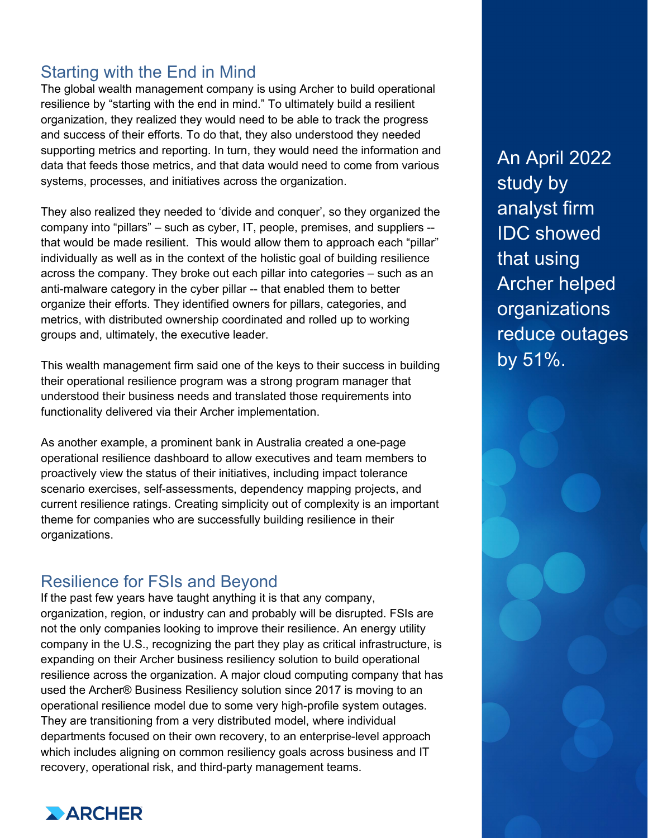#### Starting with the End in Mind

The global wealth management company is using Archer to build operational resilience by "starting with the end in mind." To ultimately build a resilient organization, they realized they would need to be able to track the progress and success of their efforts. To do that, they also understood they needed supporting metrics and reporting. In turn, they would need the information and data that feeds those metrics, and that data would need to come from various systems, processes, and initiatives across the organization.

They also realized they needed to 'divide and conquer', so they organized the company into "pillars" – such as cyber, IT, people, premises, and suppliers - that would be made resilient. This would allow them to approach each "pillar" individually as well as in the context of the holistic goal of building resilience across the company. They broke out each pillar into categories – such as an anti-malware category in the cyber pillar -- that enabled them to better organize their efforts. They identified owners for pillars, categories, and metrics, with distributed ownership coordinated and rolled up to working groups and, ultimately, the executive leader.

This wealth management firm said one of the keys to their success in building their operational resilience program was a strong program manager that understood their business needs and translated those requirements into functionality delivered via their Archer implementation.

As another example, a prominent bank in Australia created a one-page operational resilience dashboard to allow executives and team members to proactively view the status of their initiatives, including impact tolerance scenario exercises, self-assessments, dependency mapping projects, and current resilience ratings. Creating simplicity out of complexity is an important theme for companies who are successfully building resilience in their organizations.

#### Resilience for FSIs and Beyond

If the past few years have taught anything it is that any company, organization, region, or industry can and probably will be disrupted. FSIs are not the only companies looking to improve their resilience. An energy utility company in the U.S., recognizing the part they play as critical infrastructure, is expanding on their Archer business resiliency solution to build operational resilience across the organization. A major cloud computing company that has used the Archer® Business Resiliency solution since 2017 is moving to an operational resilience model due to some very high-profile system outages. They are transitioning from a very distributed model, where individual departments focused on their own recovery, to an enterprise-level approach which includes aligning on common resiliency goals across business and IT recovery, operational risk, and third-party management teams.